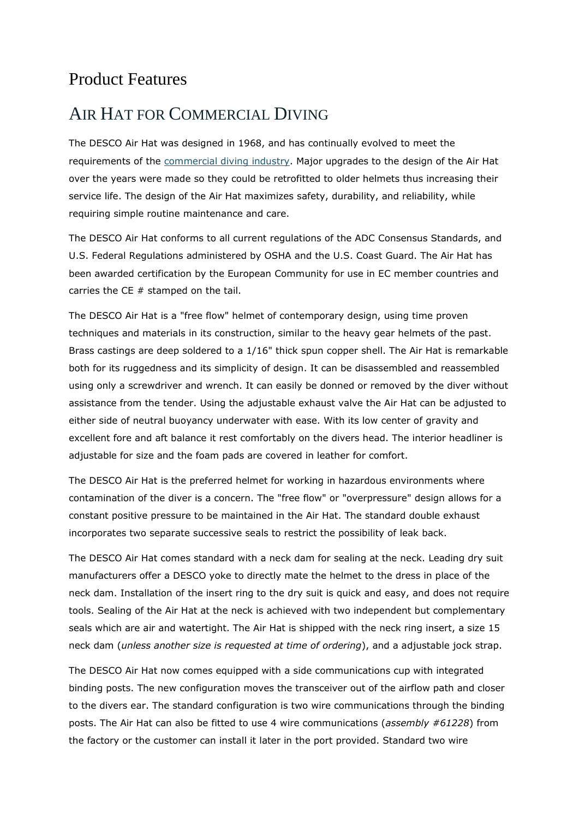#### Product Features

#### AIR HAT FOR COMMERCIAL DIVING

The DESCO Air Hat was designed in 1968, and has continually evolved to meet the requirements of the [commercial diving industry.](http://www.divedesco.com/divingequipment/CompanyHistory) Major upgrades to the design of the Air Hat over the years were made so they could be retrofitted to older helmets thus increasing their service life. The design of the Air Hat maximizes safety, durability, and reliability, while requiring simple routine maintenance and care.

The DESCO Air Hat conforms to all current regulations of the ADC Consensus Standards, and U.S. Federal Regulations administered by OSHA and the U.S. Coast Guard. The Air Hat has been awarded certification by the European Community for use in EC member countries and carries the  $CE \#$  stamped on the tail.

The DESCO Air Hat is a "free flow" helmet of contemporary design, using time proven techniques and materials in its construction, similar to the heavy gear helmets of the past. Brass castings are deep soldered to a 1/16" thick spun copper shell. The Air Hat is remarkable both for its ruggedness and its simplicity of design. It can be disassembled and reassembled using only a screwdriver and wrench. It can easily be donned or removed by the diver without assistance from the tender. Using the adjustable exhaust valve the Air Hat can be adjusted to either side of neutral buoyancy underwater with ease. With its low center of gravity and excellent fore and aft balance it rest comfortably on the divers head. The interior headliner is adjustable for size and the foam pads are covered in leather for comfort.

The DESCO Air Hat is the preferred helmet for working in hazardous environments where contamination of the diver is a concern. The "free flow" or "overpressure" design allows for a constant positive pressure to be maintained in the Air Hat. The standard double exhaust incorporates two separate successive seals to restrict the possibility of leak back.

The DESCO Air Hat comes standard with a neck dam for sealing at the neck. Leading dry suit manufacturers offer a DESCO yoke to directly mate the helmet to the dress in place of the neck dam. Installation of the insert ring to the dry suit is quick and easy, and does not require tools. Sealing of the Air Hat at the neck is achieved with two independent but complementary seals which are air and watertight. The Air Hat is shipped with the neck ring insert, a size 15 neck dam (*unless another size is requested at time of ordering*), and a adjustable jock strap.

The DESCO Air Hat now comes equipped with a side communications cup with integrated binding posts. The new configuration moves the transceiver out of the airflow path and closer to the divers ear. The standard configuration is two wire communications through the binding posts. The Air Hat can also be fitted to use 4 wire communications (*assembly #61228*) from the factory or the customer can install it later in the port provided. Standard two wire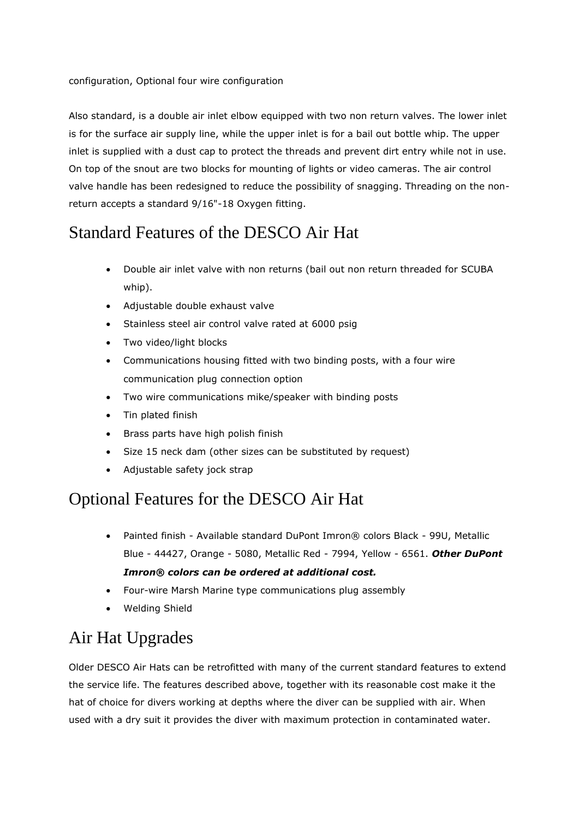Also standard, is a double air inlet elbow equipped with two non return valves. The lower inlet is for the surface air supply line, while the upper inlet is for a bail out bottle whip. The upper inlet is supplied with a dust cap to protect the threads and prevent dirt entry while not in use. On top of the snout are two blocks for mounting of lights or video cameras. The air control valve handle has been redesigned to reduce the possibility of snagging. Threading on the nonreturn accepts a standard 9/16"-18 Oxygen fitting.

#### Standard Features of the DESCO Air Hat

- Double air inlet valve with non returns (bail out non return threaded for SCUBA whip).
- Adjustable double exhaust valve
- Stainless steel air control valve rated at 6000 psig
- Two video/light blocks
- Communications housing fitted with two binding posts, with a four wire communication plug connection option
- Two wire communications mike/speaker with binding posts
- Tin plated finish
- Brass parts have high polish finish
- Size 15 neck dam (other sizes can be substituted by request)
- Adjustable safety jock strap

### Optional Features for the DESCO Air Hat

- Painted finish Available standard DuPont Imron® colors Black 99U, Metallic Blue - 44427, Orange - 5080, Metallic Red - 7994, Yellow - 6561. *Other DuPont Imron® colors can be ordered at additional cost.*
- Four-wire Marsh Marine type communications plug assembly
- Welding Shield

# Air Hat Upgrades

Older DESCO Air Hats can be retrofitted with many of the current standard features to extend the service life. The features described above, together with its reasonable cost make it the hat of choice for divers working at depths where the diver can be supplied with air. When used with a dry suit it provides the diver with maximum protection in contaminated water.